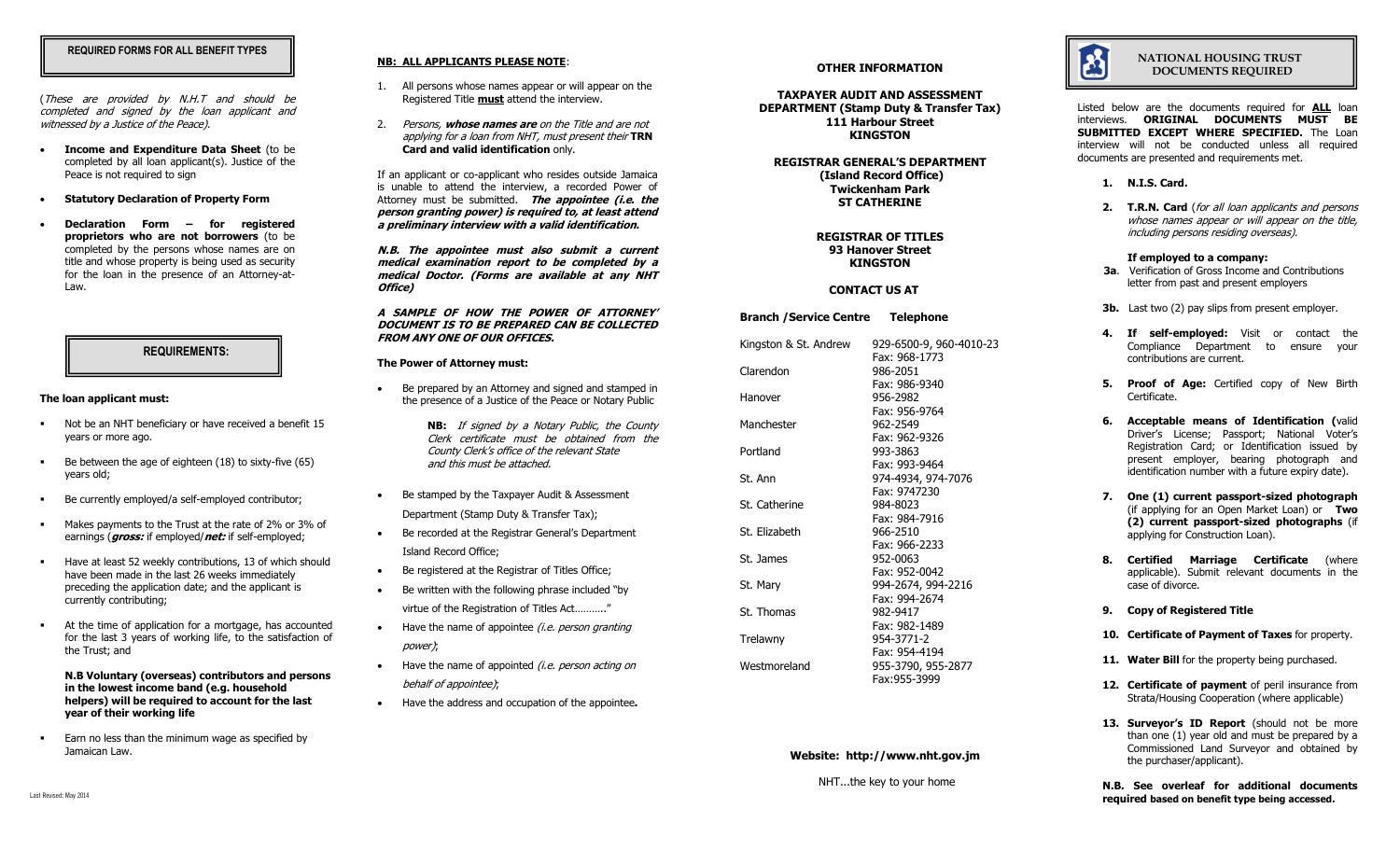## **REQUIRED FORMS FOR ALL BENEFIT TYPES**

(These are provided by N.H.T and should be completed and signed by the loan applicant and witnessed by a Justice of the Peace).

- **Income and Expenditure Data Sheet** (to be completed by all loan applicant(s). Justice of the Peace is not required to sign
- **Statutory Declaration of Property Form**
- **Declaration Form – for registered proprietors who are not borrowers** (to be completed by the persons whose names are on title and whose property is being used as security for the loan in the presence of an Attorney-at-Law.

### **REQUIREMENTS:**

#### **The loan applicant must:**

- Not be an NHT beneficiary or have received a benefit 15 years or more ago.
- Be between the age of eighteen (18) to sixty-five (65) years old;
- Be currently employed/a self-employed contributor;
- Makes payments to the Trust at the rate of 2% or 3% of earnings (**gross:** if employed/**net:** if self-employed;
- Have at least 52 weekly contributions, 13 of which should have been made in the last 26 weeks immediately preceding the application date; and the applicant is currently contributing;
- At the time of application for a mortgage, has accounted for the last 3 years of working life, to the satisfaction of the Trust; and

**N.B Voluntary (overseas) contributors and persons in the lowest income band (e.g. household helpers) will be required to account for the last year of their working life** 

 Earn no less than the minimum wage as specified by Jamaican Law.

## **NB: ALL APPLICANTS PLEASE NOTE**:

- 1. All persons whose names appear or will appear on the Registered Title **must** attend the interview.
- 2. Persons, **whose names are** on the Title and are not applying for a loan from NHT, must present their **TRN Card and valid identification** only.

If an applicant or co-applicant who resides outside Jamaica is unable to attend the interview, a recorded Power of Attorney must be submitted. **The appointee (i.e. the person granting power) is required to, at least attend a preliminary interview with a valid identification.**

**N.B. The appointee must also submit a current medical examination report to be completed by a medical Doctor. (Forms are available at any NHT Office)**

**A SAMPLE OF HOW THE POWER OF ATTORNEY' DOCUMENT IS TO BE PREPARED CAN BE COLLECTED FROM ANY ONE OF OUR OFFICES.**

### **The Power of Attorney must:**

- Be prepared by an Attorney and signed and stamped in the presence of a Justice of the Peace or Notary Public
	- **NB:** If signed by a Notary Public, the County Clerk certificate must be obtained from the County Clerk's office of the relevant State and this must be attached.
- Be stamped by the Taxpayer Audit & Assessment Department (Stamp Duty & Transfer Tax);
- Be recorded at the Registrar General's Department Island Record Office;
- Be registered at the Registrar of Titles Office:
- Be written with the following phrase included "by virtue of the Registration of Titles Act……….."
- $\bullet$  Have the name of appointee *(i.e. person granting* power);
- $\bullet$  Have the name of appointed *(i.e. person acting on* behalf of appointee);
- Have the address and occupation of the appointee**.**

### **OTHER INFORMATION**

**TAXPAYER AUDIT AND ASSESSMENT DEPARTMENT (Stamp Duty & Transfer Tax) 111 Harbour Street KINGSTON**

**REGISTRAR GENERAL'S DEPARTMENT (Island Record Office) Twickenham Park ST CATHERINE**

> **REGISTRAR OF TITLES 93 Hanover Street KINGSTON**

## **CONTACT US AT**

# **Branch /Service Centre Telephone** Kingston & St. Andrew 929-6500-9, 960-4010-23 Fax: 968-1773 Clarendon 986-2051 Fax: 986-9340 Hanover 956-2982 Fax: 956-9764 Manchester 962-2549 Fax: 962-9326 Portland 993-3863 Fax: 993-9464 St. Ann 974-4934, 974-7076 Fax: 9747230 St. Catherine 984-8023 Fax: 984-7916 St. Elizabeth 966-2510 Fax: 966-2233 St. James 952-0063 Fax: 952-0042 St. Mary 994-2674, 994-2216 Fax: 994-2674 St. Thomas 982-9417 Fax: 982-1489 Trelawny 954-3771-2 Fax: 954-4194 Westmoreland 955-3790, 955-2877 Fax:955-3999

## **Website: http://www.nht.gov.jm**

NHT...the key to your home



 **NATIONAL HOUSING TRUST DOCUMENTS REQUIRED**

Listed below are the documents required for **ALL** loan interviews. **ORIGINAL DOCUMENTS MUST BE SUBMITTED EXCEPT WHERE SPECIFIED.** The Loan interview will not be conducted unless all required documents are presented and requirements met.

- **1. N.I.S. Card.**
- **2. T.R.N. Card** (for all loan applicants and persons whose names appear or will appear on the title, including persons residing overseas).

#### **If employed to a company:**

- **3a**. Verification of Gross Income and Contributions letter from past and present employers
- **3b.** Last two (2) pay slips from present employer.
- **4. If self-employed:** Visit or contact the Compliance Department to ensure your contributions are current.
- **5. Proof of Age:** Certified copy of New Birth Certificate.
- **6. Acceptable means of Identification (**valid Driver's License; Passport; National Voter's Registration Card; or Identification issued by present employer, bearing photograph and identification number with a future expiry date).
- **7. One (1) current passport-sized photograph**  (if applying for an Open Market Loan) or **Two (2) current passport-sized photographs** (if applying for Construction Loan).
- **8. Certified Marriage Certificate** (where applicable). Submit relevant documents in the case of divorce.
- **9. Copy of Registered Title**
- **10. Certificate of Payment of Taxes** for property.
- 11. Water Bill for the property being purchased.
- 12. **Certificate of payment** of peril insurance from Strata/Housing Cooperation (where applicable)
- 13. **Surveyor's ID Report** (should not be more than one (1) year old and must be prepared by a Commissioned Land Surveyor and obtained by the purchaser/applicant).

**N.B. See overleaf for additional documents required based on benefit type being accessed.**